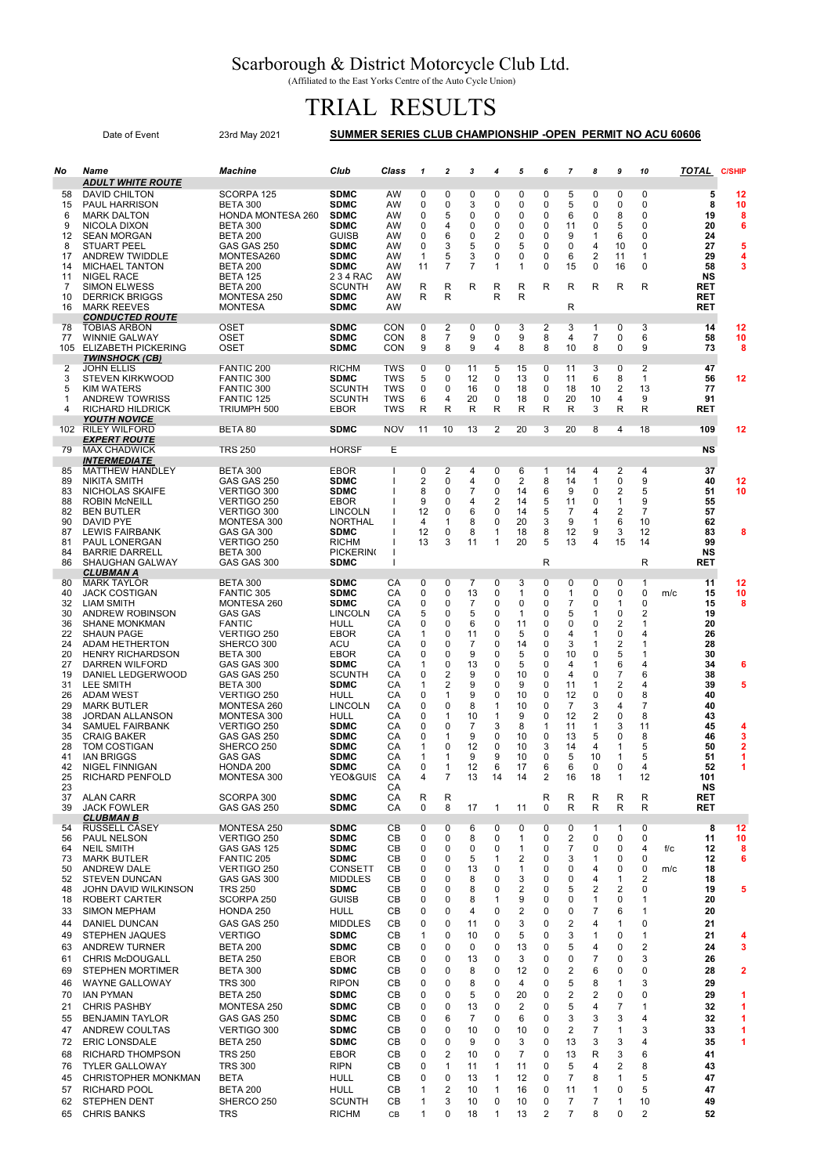## Scarborough & District Motorcycle Club Ltd.

(Affiliated to the East Yorks Centre of the Auto Cycle Union)

## TRIAL RESULTS

|                        | Date of Event                                    | 23rd May 2021                      | SUMMER SERIES CLUB CHAMPIONSHIP -OPEN PERMIT NO ACU 60606 |                   |              |                              |                     |                    |                             |               |                      |                     |                                           |                  |     |                        |                         |
|------------------------|--------------------------------------------------|------------------------------------|-----------------------------------------------------------|-------------------|--------------|------------------------------|---------------------|--------------------|-----------------------------|---------------|----------------------|---------------------|-------------------------------------------|------------------|-----|------------------------|-------------------------|
| No                     | Name                                             | <b>Machine</b>                     | Club                                                      | Class             | $\mathbf{1}$ | $\overline{2}$               | 3                   | 4                  | 5                           | 6             | $\overline{7}$       | 8                   | 9                                         | 10               |     | TOTAL<br><b>C/SHIP</b> |                         |
| 58                     | <b>ADULT WHITE ROUTE</b><br><b>DAVID CHILTON</b> | SCORPA 125                         | <b>SDMC</b>                                               | AW                | 0            | 0                            | 0                   | 0                  | 0                           | 0             | 5                    | 0                   | 0                                         | 0                |     | 5<br>12                |                         |
| 15                     | <b>PAUL HARRISON</b>                             | <b>BETA 300</b>                    | <b>SDMC</b>                                               | AW                | 0            | 0                            | 3                   | 0                  | 0                           | 0             | 5                    | 0                   | 0                                         | 0                |     | 8<br>10                |                         |
| 6                      | <b>MARK DALTON</b>                               | <b>HONDA MONTESA 260</b>           | <b>SDMC</b>                                               | AW                | 0            | 5                            | 0                   | 0                  | 0                           | 0             | 6                    | 0                   | 8                                         | 0                |     | 19                     | 8                       |
| 9<br>$12 \overline{ }$ | NICOLA DIXON<br><b>SEAN MORGAN</b>               | <b>BETA 300</b><br><b>BETA 200</b> | <b>SDMC</b><br><b>GUISB</b>                               | AW<br>AW          | 0<br>0       | 4<br>6                       | 0<br>0              | 0<br>2             | 0<br>$\mathbf 0$            | 0<br>$\Omega$ | 11<br>9              | 0<br>1              | 5<br>6                                    | 0<br>0           |     | 20<br>24               | 6                       |
| 8                      | <b>STUART PEEL</b>                               | GAS GAS 250                        | <b>SDMC</b>                                               | AW                | 0            | 3                            | 5                   | 0                  | 5                           | 0             | 0                    | 4                   | 10                                        | 0                |     | 27                     | 5                       |
| 17<br>14               | <b>ANDREW TWIDDLE</b><br><b>MICHAEL TANTON</b>   | MONTESA260<br><b>BETA 200</b>      | <b>SDMC</b><br><b>SDMC</b>                                | AW<br>AW          | 1<br>11      | 5<br>$\overline{7}$          | 3<br>7              | 0<br>$\mathbf{1}$  | $\mathbf 0$<br>$\mathbf{1}$ | 0<br>0        | 6<br>15              | $\overline{2}$<br>0 | 11<br>16                                  | 1<br>0           |     | 29<br>58               | 4<br>3                  |
| 11                     | NIGEL RACE                                       | <b>BETA 125</b>                    | 2 3 4 RAC                                                 | AW                |              |                              |                     |                    |                             |               |                      |                     |                                           |                  |     | NS                     |                         |
| 7<br>10                | <b>SIMON ELWESS</b><br><b>DERRICK BRIGGS</b>     | <b>BETA 200</b><br>MONTESA 250     | <b>SCUNTH</b><br><b>SDMC</b>                              | AW<br>AW          | R<br>R       | R<br>R                       | R                   | R<br>R             | R<br>R                      | R             | R                    | R                   | R                                         | R                |     | RET<br>RET             |                         |
| 16                     | <b>MARK REEVES</b>                               | <b>MONTESA</b>                     | <b>SDMC</b>                                               | AW                |              |                              |                     |                    |                             |               | R                    |                     |                                           |                  |     | RET                    |                         |
|                        | <b>CONDUCTED ROUTE</b>                           |                                    |                                                           |                   |              |                              |                     |                    |                             |               |                      |                     |                                           |                  |     |                        |                         |
| 78<br>77               | <b>TOBIAS ARBON</b><br><b>WINNIE GALWAY</b>      | <b>OSET</b><br><b>OSET</b>         | <b>SDMC</b><br><b>SDMC</b>                                | CON<br>CON        | 0<br>8       | 2<br>$\overline{7}$          | 0<br>9              | 0<br>0             | 3<br>9                      | 2<br>8        | 3<br>4               | 1<br>$\overline{7}$ | 0<br>0                                    | 3<br>6           |     | 14<br>12<br>58<br>10   |                         |
| 105                    | <b>ELIZABETH PICKERING</b>                       | OSET                               | <b>SDMC</b>                                               | CON               | 9            | 8                            | 9                   | 4                  | 8                           | 8             | 10                   | 8                   | 0                                         | 9                |     | 73                     | 8                       |
| 2                      | <b>TWINSHOCK (CB)</b><br><b>JOHN ELLIS</b>       | FANTIC 200                         | <b>RICHM</b>                                              | TWS               | 0            | 0                            | 11                  | 5                  | 15                          | 0             | 11                   | 3                   | 0                                         | $\overline{2}$   |     | 47                     |                         |
| 3                      | <b>STEVEN KIRKWOOD</b>                           | FANTIC 300                         | <b>SDMC</b>                                               | TWS               | 5            | 0                            | 12                  | 0                  | 13                          | 0             | 11                   | 6                   | 8                                         | 1                |     | 56<br>12               |                         |
| 5<br>1                 | <b>KIM WATERS</b><br><b>ANDREW TOWRISS</b>       | FANTIC 300<br>FANTIC 125           | <b>SCUNTH</b><br><b>SCUNTH</b>                            | <b>TWS</b><br>TWS | 0<br>6       | $\mathbf 0$<br>4             | 16<br>20            | 0<br>0             | 18<br>18                    | 0<br>$\Omega$ | 18<br>20             | 10<br>10            | 2<br>4                                    | 13<br>9          |     | 77<br>91               |                         |
| 4                      | <b>RICHARD HILDRICK</b>                          | TRIUMPH 500                        | EBOR                                                      | <b>TWS</b>        | R            | R                            | R                   | R                  | R                           | R             | R                    | 3                   | R                                         | R                |     | <b>RET</b>             |                         |
|                        | <b>YOUTH NOVICE</b>                              |                                    |                                                           |                   |              |                              | 13                  | $\overline{2}$     | 20                          | 3             |                      |                     |                                           |                  |     | 12                     |                         |
| 102                    | <b>RILEY WILFORD</b><br><b>EXPERT ROUTE</b>      | BETA 80                            | <b>SDMC</b>                                               | <b>NOV</b>        | 11           | 10                           |                     |                    |                             |               | 20                   | 8                   | 4                                         | 18               |     | 109                    |                         |
| 79                     | <b>MAX CHADWICK</b>                              | <b>TRS 250</b>                     | <b>HORSF</b>                                              | Е                 |              |                              |                     |                    |                             |               |                      |                     |                                           |                  |     | <b>NS</b>              |                         |
| 85                     | <b>INTERMEDIATE</b><br><b>MATTHEW HANDLEY</b>    | <b>BETA 300</b>                    | EBOR                                                      |                   | 0            | 2                            | 4                   | 0                  | 6                           | $\mathbf{1}$  | 14                   | 4                   | 2                                         | 4                |     | 37                     |                         |
| 89                     | <b>NIKITA SMITH</b>                              | GAS GAS 250                        | <b>SDMC</b>                                               |                   | 2            | 0                            | 4                   | 0                  | 2                           | 8             | 14                   | 1                   | 0                                         | 9                |     | 40<br>12               |                         |
| 83<br>88               | <b>NICHOLAS SKAIFE</b><br><b>ROBIN McNEILL</b>   | VERTIGO 300<br>VERTIGO 250         | <b>SDMC</b><br><b>EBOR</b>                                |                   | 8<br>9       | 0<br>0                       | 7<br>4              | 0<br>2             | 14<br>14                    | 6<br>5        | 9<br>11              | 0<br>0              | 2<br>1                                    | 5<br>9           |     | 51<br>10<br>55         |                         |
| 82                     | <b>BEN BUTLER</b>                                | VERTIGO 300                        | <b>LINCOLN</b>                                            |                   | 12           | 0                            | 6                   | 0                  | 14                          | 5             | 7                    | 4                   | $\overline{2}$                            | 7                |     | 57                     |                         |
| 90                     | DAVID PYE                                        | MONTESA 300                        | <b>NORTHAL</b>                                            |                   | 4            | $\mathbf{1}$                 | 8                   | $\mathbf 0$        | 20                          | 3             | 9                    | 1                   | 6                                         | 10               |     | 62                     |                         |
| 87<br>81               | <b>LEWIS FAIRBANK</b><br>PAUL LONERGAN           | <b>GAS GA 300</b><br>VERTIGO 250   | <b>SDMC</b><br><b>RICHM</b>                               |                   | 12<br>13     | 0<br>3                       | 8<br>11             | $\mathbf{1}$<br>1  | 18<br>20                    | 8<br>5        | 12<br>13             | 9<br>4              | 3<br>15                                   | 12<br>14         |     | 83<br>99               | 8                       |
| 84                     | <b>BARRIE DARRELL</b>                            | <b>BETA 300</b>                    | <b>PICKERING</b>                                          |                   |              |                              |                     |                    |                             |               |                      |                     |                                           |                  |     | NS                     |                         |
| 86                     | <b>SHAUGHAN GALWAY</b>                           | GAS GAS 300                        | <b>SDMC</b>                                               |                   |              |                              |                     |                    |                             | R             |                      |                     |                                           | R                |     | RET                    |                         |
| 80                     | <b>CLUBMAN A</b><br><b>MARK TAYLOR</b>           | <b>BETA 300</b>                    | <b>SDMC</b>                                               | СA                | 0            | 0                            | 7                   | 0                  | 3                           | 0             | 0                    | 0                   | 0                                         | 1                |     | 11<br>12               |                         |
| 40                     | <b>JACK COSTIGAN</b>                             | <b>FANTIC 305</b>                  | <b>SDMC</b>                                               | CA                | 0            | 0                            | 13                  | 0                  | 1                           | 0             | 1                    | 0                   | 0                                         | 0                | m/c | 10<br>15               |                         |
| 32<br>30               | LIAM SMITH<br>ANDREW ROBINSON                    | MONTESA 260<br><b>GAS GAS</b>      | <b>SDMC</b><br><b>LINCOLN</b>                             | CA<br>СA          | 0<br>5       | 0<br>0                       | $\overline{7}$<br>5 | 0<br>0             | 0<br>1                      | 0<br>0        | $\overline{7}$<br>5  | 0<br>1              | 1<br>0                                    | 0<br>2           |     | 15<br>19               | 8                       |
| 36                     | <b>SHANE MONKMAN</b>                             | <b>FANTIC</b>                      | HULL                                                      | CA                | 0            | 0                            | 6                   | $\mathbf 0$        | 11                          | 0             | 0                    | 0                   | 2                                         | 1                |     | 20                     |                         |
| 22<br>24               | <b>SHAUN PAGE</b><br>ADAM HETHERTON              | VERTIGO 250<br>SHERCO 300          | EBOR<br>ACU                                               | СA<br>СA          | 1<br>0       | 0<br>0                       | 11<br>7             | 0<br>0             | 5<br>14                     | 0<br>0        | 4<br>3               | 1                   | 0<br>2                                    | 4<br>1           |     | 26<br>28               |                         |
| 20                     | <b>HENRY RICHARDSON</b>                          | <b>BETA 300</b>                    | EBOR                                                      | СA                | 0            | 0                            | 9                   | 0                  | 5                           | 0             | 10                   | 1<br>0              | 5                                         | 1                |     | 30                     |                         |
| 27                     | DARREN WILFORD                                   | GAS GAS 300                        | <b>SDMC</b>                                               | СA                | 1            | 0                            | 13                  | 0                  | 5                           | $\Omega$      | 4                    | 1                   | 6                                         | 4                |     | 34                     | 6                       |
| 19<br>31               | DANIEL LEDGERWOOD<br><b>LEE SMITH</b>            | GAS GAS 250<br><b>BETA 300</b>     | <b>SCUNTH</b><br><b>SDMC</b>                              | СA<br>CA          | 0<br>1       | 2<br>$\overline{\mathbf{c}}$ | 9<br>9              | 0<br>0             | 10<br>9                     | $\Omega$<br>0 | 4<br>11              | 0<br>1              | $\overline{7}$<br>$\overline{\mathbf{c}}$ | 6<br>4           |     | 38<br>39               | 5                       |
| 26                     | ADAM WEST                                        | VERTIGO 250                        | HULL                                                      | CA                | 0            | 1                            | 9                   | 0                  | 10                          | 0             | 12                   | 0                   | $\mathbf 0$                               | 8                |     | 40                     |                         |
| 29<br>38               | <b>MARK BUTLER</b>                               | MONTESA 260<br>MONTESA 300         | <b>LINCOLN</b><br>HULL                                    | СA<br>CA          | 0<br>0       | 0<br>1                       | 8<br>10             | $\mathbf{1}$<br>-1 | 10<br>9                     | 0<br>0        | $\overline{7}$<br>12 | 3<br>2              | 4<br>$\mathbf 0$                          | 7<br>8           |     | 40<br>43               |                         |
| 34                     | JORDAN ALLANSON<br><b>SAMUEL FAIRBANK</b>        | VERTIGO 250                        | <b>SDMC</b>                                               | СA                | 0            | 0                            | 7                   | 3                  | 8                           | 1             | 11                   | 1                   | 3                                         | 11               |     | 45                     | 4                       |
| 35                     | <b>CRAIG BAKER</b>                               | GAS GAS 250                        | <b>SDMC</b>                                               | СA                | 0            | $\mathbf 1$                  | 9                   | $\Omega$           | 10                          | 0             | 13                   | 5                   | 0                                         | 8                |     | 46                     | 3                       |
| 28<br>41               | TOM COSTIGAN<br><b>IAN BRIGGS</b>                | SHERCO 250<br>GAS GAS              | <b>SDMC</b><br>SDMC                                       | СA<br>CА          | 1            | 0                            | 12<br>9             | 0<br>9             | 10<br>10                    | 3<br>0        | 14<br>5              | 4<br>10             | 1                                         | 5<br>5           |     | 50<br>51               | $\overline{\mathbf{2}}$ |
| 42                     | <b>NIGEL FINNIGAN</b>                            | HONDA 200                          | <b>SDMC</b>                                               | CA                | 0            | 1                            | 12                  | 6                  | 17                          | 6             | 6                    | 0                   | 0                                         | 4                |     | 52                     | 1                       |
| 25<br>23               | RICHARD PENFOLD                                  | MONTESA 300                        | YEO&GUIS                                                  | CA<br>СA          | 4            | $\overline{7}$               | 13                  | 14                 | 14                          | 2             | 16                   | 18                  | 1                                         | 12               |     | 101<br>NS              |                         |
| 37                     | <b>ALAN CARR</b>                                 | SCORPA 300                         | <b>SDMC</b>                                               | СA                | R            | R                            |                     |                    |                             | R             | R                    | R                   | R                                         | R                |     | RET                    |                         |
| 39                     | <b>JACK FOWLER</b>                               | GAS GAS 250                        | <b>SDMC</b>                                               | СA                | 0            | 8                            | 17                  | 1                  | 11                          | 0             | R                    | R                   | R                                         | R                |     | RET                    |                         |
| 54                     | <b>CLUBMAN B</b><br><b>RUSSELL CASEY</b>         | MONTESA 250                        | <b>SDMC</b>                                               | CB                | 0            | 0                            | 6                   | 0                  | 0                           | 0             | 0                    | 1                   | 1                                         | 0                |     | 8<br>12                |                         |
| 56                     | PAUL NELSON                                      | VERTIGO 250                        | <b>SDMC</b>                                               | CB                | 0            | 0                            | 8                   | 0                  | $\mathbf{1}$                | 0             | 2                    | 0                   | 0                                         | 0                |     | 11<br>10               |                         |
| 64<br>73               | <b>NEIL SMITH</b><br><b>MARK BUTLER</b>          | GAS GAS 125<br>FANTIC 205          | <b>SDMC</b><br><b>SDMC</b>                                | CB<br>CB          | 0<br>0       | 0<br>0                       | 0<br>5              | 0<br>1             | 1<br>2                      | 0<br>0        | $\overline{7}$<br>3  | 0<br>1              | 0<br>0                                    | 4<br>$\mathbf 0$ | f/c | 12<br>12               | 8<br>6                  |
| 50                     | <b>ANDREW DALE</b>                               | VERTIGO 250                        | CONSETT                                                   | CB                | 0            | 0                            | 13                  | 0                  | 1                           | 0             | 0                    | 4                   | 0                                         | 0                | m/c | 18                     |                         |
| 52<br>48               | <b>STEVEN DUNCAN</b><br>JOHN DAVID WILKINSON     | GAS GAS 300<br><b>TRS 250</b>      | <b>MIDDLES</b><br><b>SDMC</b>                             | CВ<br>CB          | 0<br>0       | 0<br>0                       | 8<br>8              | 0<br>0             | 3<br>$\overline{2}$         | 0<br>0        | 0<br>5               | 4<br>2              | 1<br>2                                    | 2<br>0           |     | 18<br>19               | 5                       |
| 18                     | ROBERT CARTER                                    | SCORPA 250                         | <b>GUISB</b>                                              | CB                | 0            | 0                            | 8                   | $\mathbf{1}$       | 9                           | 0             | 0                    | 1                   | 0                                         | 1                |     | 20                     |                         |
| 33                     | <b>SIMON MEPHAM</b>                              | HONDA 250                          | <b>HULL</b>                                               | CВ                | 0            | 0                            | 4                   | 0                  | 2                           | 0             | 0                    | 7                   | 6                                         | 1                |     | 20                     |                         |
| 44                     | <b>DANIEL DUNCAN</b>                             | GAS GAS 250                        | <b>MIDDLES</b>                                            | CB                | 0            | 0                            | 11                  | 0                  | 3                           | 0             | $\overline{c}$       | 4                   | $\mathbf{1}$                              | 0                |     | 21                     |                         |
| 49                     | STEPHEN JAQUES                                   | <b>VERTIGO</b>                     | <b>SDMC</b>                                               | CB<br>CB          | 1<br>0       | 0<br>0                       | 10<br>0             | 0<br>0             | 5                           | 0<br>0        | 3<br>5               | 1                   | 0<br>0                                    | 1<br>2           |     | 21                     | 4<br>3                  |
| 63<br>61               | <b>ANDREW TURNER</b><br><b>CHRIS McDOUGALL</b>   | <b>BETA 200</b><br><b>BETA 250</b> | <b>SDMC</b><br><b>EBOR</b>                                | CB                | 0            | 0                            | 13                  | $\mathbf 0$        | 13<br>3                     | 0             | 0                    | 4<br>7              | 0                                         | 3                |     | 24<br>26               |                         |
| 69                     | <b>STEPHEN MORTIMER</b>                          | <b>BETA 300</b>                    | <b>SDMC</b>                                               | CB                | 0            | 0                            | 8                   | 0                  | 12                          | 0             | 2                    | 6                   | 0                                         | 0                |     | 28                     | $\overline{2}$          |
| 46                     | <b>WAYNE GALLOWAY</b>                            | <b>TRS 300</b>                     | <b>RIPON</b>                                              | CВ                | 0            | 0                            | 8                   | 0                  | 4                           | 0             | 5                    | 8                   | 1                                         | 3                |     | 29                     |                         |
| 70                     | <b>IAN PYMAN</b>                                 | <b>BETA 250</b>                    | <b>SDMC</b>                                               | CB                | 0            | 0                            | 5                   | 0                  | 20                          | 0             | 2                    | 2                   | 0                                         | 0                |     | 29                     | 1                       |
| 21                     | <b>CHRIS PASHBY</b>                              | MONTESA 250                        | <b>SDMC</b>                                               | CB                | 0            | 0                            | 13                  | 0                  | $\overline{2}$              | 0             | 5                    | 4                   | 7                                         | 1                |     | 32                     | 1                       |
| 55<br>47               | <b>BENJAMIN TAYLOR</b><br>ANDREW COULTAS         | GAS GAS 250<br>VERTIGO 300         | <b>SDMC</b><br><b>SDMC</b>                                | CВ<br>CB          | 0<br>0       | 6<br>0                       | 7<br>10             | 0<br>0             | 6<br>10                     | 0<br>0        | 3<br>$\overline{c}$  | 3<br>$\overline{7}$ | 3<br>1                                    | 4<br>3           |     | 32<br>33               | 1<br>1                  |
| 72                     | <b>ERIC LONSDALE</b>                             | <b>BETA 250</b>                    | <b>SDMC</b>                                               | CB                | 0            | 0                            | 9                   | $\mathbf 0$        | 3                           | 0             | 13                   | 3                   | 3                                         | 4                |     | 35                     | 1                       |
| 68                     | <b>RICHARD THOMPSON</b>                          | <b>TRS 250</b>                     | EBOR                                                      | CB                | 0            | 2                            | 10                  | 0                  | 7                           | 0             | 13                   | R                   | 3                                         | 6                |     | 41                     |                         |
| 76                     | <b>TYLER GALLOWAY</b>                            | <b>TRS 300</b>                     | <b>RIPN</b>                                               | CB                | 0            | $\mathbf{1}$                 | 11                  | 1                  | 11                          | 0             | 5                    | 4                   | 2                                         | 8                |     | 43                     |                         |
| 45                     | CHRISTOPHER MONKMAN                              | <b>BETA</b>                        | HULL                                                      | CB                | 0            | 0                            | 13                  | 1                  | 12                          | 0             | 7                    | 8                   | 1                                         | 5                |     | 47                     |                         |
| 57<br>62               | <b>RICHARD POOL</b><br>STEPHEN DENT              | <b>BETA 200</b><br>SHERCO 250      | <b>HULL</b>                                               | CB                | 1<br>1       | $\overline{c}$<br>3          | 10<br>10            | 1<br>0             | 16<br>10                    | 0<br>0        | 11<br>7              | 1                   | 0<br>1                                    | 5<br>10          |     | 47                     |                         |
| 65                     | <b>CHRIS BANKS</b>                               | <b>TRS</b>                         | <b>SCUNTH</b><br><b>RICHM</b>                             | CВ<br>СB          | 1            | 0                            | 18                  | $\mathbf{1}$       | 13                          | 2             | 7                    | 7<br>8              | 0                                         | 2                |     | 49<br>52               |                         |
|                        |                                                  |                                    |                                                           |                   |              |                              |                     |                    |                             |               |                      |                     |                                           |                  |     |                        |                         |